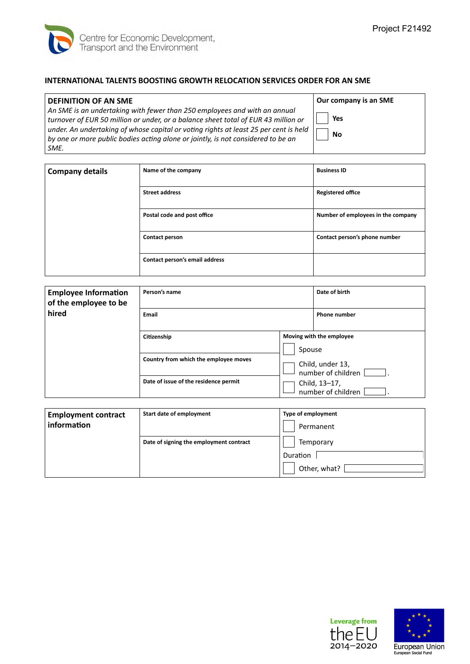

## **INTERNATIONAL TALENTS BOOSTING GROWTH RELOCATION SERVICES ORDER FOR AN SME**

## **DEFINITION OF AN SME**

*An SME is an undertaking with fewer than 250 employees and with an annual turnover of EUR 50 million or under, or a balance sheet total of EUR 43 million or under. An undertaking of whose capital or voting rights at least 25 per cent is held by one or more public bodies acting alone or jointly, is not considered to be an SME.* 

**Our company is an SME Yes No**

| <b>Company details</b> | Name of the company            | <b>Business ID</b>                 |
|------------------------|--------------------------------|------------------------------------|
|                        | <b>Street address</b>          | <b>Registered office</b>           |
|                        | Postal code and post office    | Number of employees in the company |
|                        | Contact person                 | Contact person's phone number      |
|                        | Contact person's email address |                                    |

| <b>Employee Information</b><br>of the employee to be | Person's name                         |        | Date of birth                          |
|------------------------------------------------------|---------------------------------------|--------|----------------------------------------|
| hired                                                | Email                                 |        | <b>Phone number</b>                    |
|                                                      | Citizenship                           |        | Moving with the employee               |
|                                                      |                                       | Spouse |                                        |
|                                                      | Country from which the employee moves |        | Child, under 13,<br>number of children |
|                                                      | Date of issue of the residence permit |        | Child, 13-17,<br>number of children    |

| <b>Employment contract</b><br>information | Start date of employment                | <b>Type of employment</b><br>Permanent |  |
|-------------------------------------------|-----------------------------------------|----------------------------------------|--|
|                                           | Date of signing the employment contract | Temporary                              |  |
|                                           |                                         | Duration                               |  |
|                                           |                                         | Other, what?                           |  |

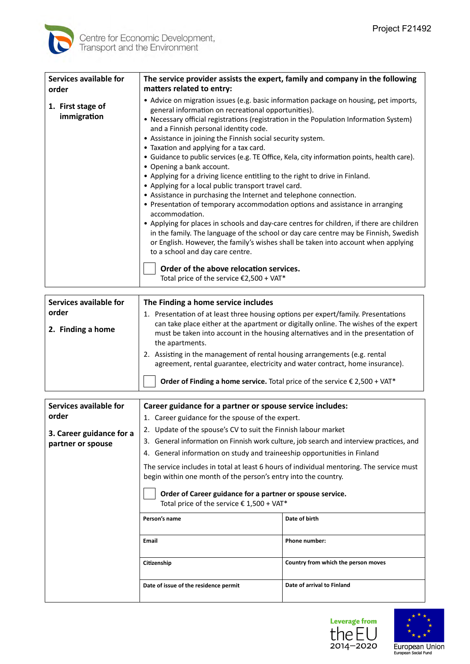

| Services available for<br>order  | The service provider assists the expert, family and company in the following<br>matters related to entry:                                                                                                                                                                                                                                                                                                                                                                                                                                                                                                                                                                                                                                                                                                                                                                                                                                                                                                                                                                                                                                                                                                                                   |
|----------------------------------|---------------------------------------------------------------------------------------------------------------------------------------------------------------------------------------------------------------------------------------------------------------------------------------------------------------------------------------------------------------------------------------------------------------------------------------------------------------------------------------------------------------------------------------------------------------------------------------------------------------------------------------------------------------------------------------------------------------------------------------------------------------------------------------------------------------------------------------------------------------------------------------------------------------------------------------------------------------------------------------------------------------------------------------------------------------------------------------------------------------------------------------------------------------------------------------------------------------------------------------------|
| 1. First stage of<br>immigration | • Advice on migration issues (e.g. basic information package on housing, pet imports,<br>general information on recreational opportunities).<br>• Necessary official registrations (registration in the Population Information System)<br>and a Finnish personal identity code.<br>• Assistance in joining the Finnish social security system.<br>• Taxation and applying for a tax card.<br>• Guidance to public services (e.g. TE Office, Kela, city information points, health care).<br>• Opening a bank account.<br>• Applying for a driving licence entitling to the right to drive in Finland.<br>• Applying for a local public transport travel card.<br>• Assistance in purchasing the Internet and telephone connection.<br>• Presentation of temporary accommodation options and assistance in arranging<br>accommodation.<br>• Applying for places in schools and day-care centres for children, if there are children<br>in the family. The language of the school or day care centre may be Finnish, Swedish<br>or English. However, the family's wishes shall be taken into account when applying<br>to a school and day care centre.<br>Order of the above relocation services.<br>Total price of the service €2,500 + VAT* |
|                                  |                                                                                                                                                                                                                                                                                                                                                                                                                                                                                                                                                                                                                                                                                                                                                                                                                                                                                                                                                                                                                                                                                                                                                                                                                                             |

| Services available for | The Finding a home service includes                                                                                                                                                          |
|------------------------|----------------------------------------------------------------------------------------------------------------------------------------------------------------------------------------------|
| order                  | Presentation of at least three housing options per expert/family. Presentations                                                                                                              |
| 2. Finding a home      | can take place either at the apartment or digitally online. The wishes of the expert<br>must be taken into account in the housing alternatives and in the presentation of<br>the apartments. |
|                        | Assisting in the management of rental housing arrangements (e.g. rental<br>agreement, rental guarantee, electricity and water contract, home insurance).                                     |
|                        | Order of Finding a home service. Total price of the service $\epsilon$ 2,500 + VAT*                                                                                                          |

| Services available for                        | Career guidance for a partner or spouse service includes:                                                                                                  |                                     |
|-----------------------------------------------|------------------------------------------------------------------------------------------------------------------------------------------------------------|-------------------------------------|
| order                                         | 1. Career guidance for the spouse of the expert.                                                                                                           |                                     |
| 3. Career guidance for a<br>partner or spouse | 2. Update of the spouse's CV to suit the Finnish labour market                                                                                             |                                     |
|                                               | General information on Finnish work culture, job search and interview practices, and<br>3.                                                                 |                                     |
|                                               | 4. General information on study and traineeship opportunities in Finland                                                                                   |                                     |
|                                               | The service includes in total at least 6 hours of individual mentoring. The service must<br>begin within one month of the person's entry into the country. |                                     |
|                                               | Order of Career guidance for a partner or spouse service.<br>Total price of the service $\epsilon$ 1,500 + VAT*                                            |                                     |
|                                               | Person's name                                                                                                                                              | Date of birth                       |
|                                               | Email                                                                                                                                                      | <b>Phone number:</b>                |
|                                               | Citizenship                                                                                                                                                | Country from which the person moves |
|                                               | Date of issue of the residence permit                                                                                                                      | Date of arrival to Finland          |